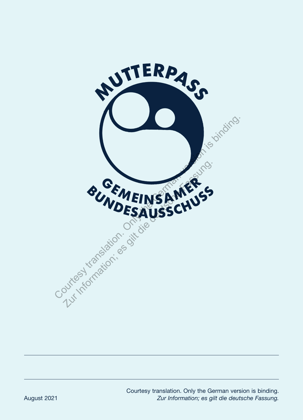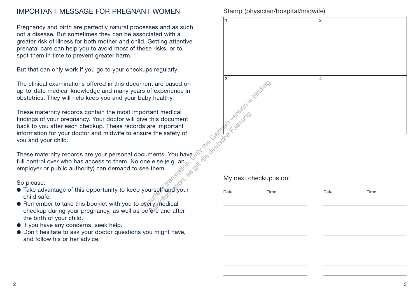### IMPORTANT MESSAGE FOR PREGNANT WOMEN

Pregnancy and birth are perfectly natural processes and as such not a disease. But sometimes they can be associated with a greater risk of illness for both mother and child. Getting attentive prenatal care can help you to avoid most of these risks, or to spot them in time to prevent greater harm.

But that can only work if you go to your checkups regularly!

The clinical examinations offered in this document are based on up-to-date medical knowledge and many years of experience in obstetrics. They will help keep you and your baby healthy.

These maternity records contain the most important medical findings of your pregnancy. Your doctor will give this document back to you after each checkup. These records are important information for your doctor and midwife to ensure the safety of you and your child.

These maternity records are your personal documents. You have full control over who has access to them. No one else (e.g. an employer or public authority) can demand to see them. Xur Britisher Gentlem

#### So please:

- Take advantage of this opportunity to keep yourself and your child safe.
- Remember to take this booklet with you to every medical checkup during your pregnancy, as well as before and after the birth of your child.
- If you have any concerns, seek help.
- Don't hesitate to ask your doctor questions you might have, and follow his or her advice.

Stamp (physician/hospital/midwife)



My next checkup is on:

| Date | Time | Date | Time |
|------|------|------|------|
|      |      |      |      |
|      |      |      |      |
|      |      |      |      |
|      |      |      |      |
|      |      |      |      |
|      |      |      |      |
|      |      |      |      |
|      |      |      |      |
|      |      |      |      |
|      |      |      |      |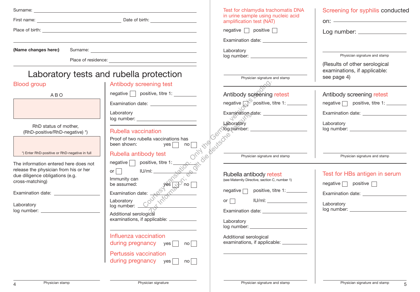| Surname:<br>the control of the control of the control of the control of the                                                                                                                                                          |                                                                                                                                                                                                                                                                 | Test for chlamydia trachomatis DNA                                                                                                                                                                                                                | Screening for syphilis conducted                                                                                                                                                                                                                                                                                                                                                                                                                                                                                                                                                                                                                                                                                          |
|--------------------------------------------------------------------------------------------------------------------------------------------------------------------------------------------------------------------------------------|-----------------------------------------------------------------------------------------------------------------------------------------------------------------------------------------------------------------------------------------------------------------|---------------------------------------------------------------------------------------------------------------------------------------------------------------------------------------------------------------------------------------------------|---------------------------------------------------------------------------------------------------------------------------------------------------------------------------------------------------------------------------------------------------------------------------------------------------------------------------------------------------------------------------------------------------------------------------------------------------------------------------------------------------------------------------------------------------------------------------------------------------------------------------------------------------------------------------------------------------------------------------|
|                                                                                                                                                                                                                                      | First name: <u>example and the set of the set of birth:</u> Date of birth:                                                                                                                                                                                      | in urine sample using nucleic acid<br>amplification test (NAT)                                                                                                                                                                                    | on: $\overline{\phantom{a}}$                                                                                                                                                                                                                                                                                                                                                                                                                                                                                                                                                                                                                                                                                              |
| Place of birth: <u>example and the contract of the contract of the contract of the contract of the contract of the contract of the contract of the contract of the contract of the contract of the contract of the contract of t</u> |                                                                                                                                                                                                                                                                 | negative $\Box$ positive $\Box$                                                                                                                                                                                                                   |                                                                                                                                                                                                                                                                                                                                                                                                                                                                                                                                                                                                                                                                                                                           |
| (Name changes here:)                                                                                                                                                                                                                 | Place of residence: The contract of residence:                                                                                                                                                                                                                  | Laboratory                                                                                                                                                                                                                                        | Physician signature and stamp<br>(Results of other serological                                                                                                                                                                                                                                                                                                                                                                                                                                                                                                                                                                                                                                                            |
|                                                                                                                                                                                                                                      | Laboratory tests and rubella protection                                                                                                                                                                                                                         | Physician signature and stamp                                                                                                                                                                                                                     | examinations, if applicable:<br>see page 4)                                                                                                                                                                                                                                                                                                                                                                                                                                                                                                                                                                                                                                                                               |
| <b>Blood group</b>                                                                                                                                                                                                                   | Antibody screening test                                                                                                                                                                                                                                         |                                                                                                                                                                                                                                                   |                                                                                                                                                                                                                                                                                                                                                                                                                                                                                                                                                                                                                                                                                                                           |
| <b>ABO</b>                                                                                                                                                                                                                           | $negative \frown positive$ , titre 1:                                                                                                                                                                                                                           | Antibody screening retest                                                                                                                                                                                                                         | Antibody screening retest                                                                                                                                                                                                                                                                                                                                                                                                                                                                                                                                                                                                                                                                                                 |
|                                                                                                                                                                                                                                      |                                                                                                                                                                                                                                                                 | negative $\bigcap^{\heartsuit}$ positive, titre 1: ________                                                                                                                                                                                       | negative negative negative, titre 1:                                                                                                                                                                                                                                                                                                                                                                                                                                                                                                                                                                                                                                                                                      |
|                                                                                                                                                                                                                                      | Laboratory                                                                                                                                                                                                                                                      |                                                                                                                                                                                                                                                   | Examination date: ___________________<br>Laboratory                                                                                                                                                                                                                                                                                                                                                                                                                                                                                                                                                                                                                                                                       |
| RhD status of mother,<br>(RhD-positive/RhD-negative) *)                                                                                                                                                                              | Rubella vaccination                                                                                                                                                                                                                                             |                                                                                                                                                                                                                                                   | log number: ___________                                                                                                                                                                                                                                                                                                                                                                                                                                                                                                                                                                                                                                                                                                   |
| *) Enter RhD-positive or RhD-negative in full                                                                                                                                                                                        | Proof of two rubella vaccinations has<br>been shown: $yes \fbox{}$<br>Rubella antibody test<br>negative positive, titre 1:                                                                                                                                      | has no which the control of the control of the control of the control of the control of the control of the control of the control of the control of the control of the control of the control of the control of the control of<br>It die peutsche | Physician signature and stamp                                                                                                                                                                                                                                                                                                                                                                                                                                                                                                                                                                                                                                                                                             |
| The information entered here does not<br>release the physician from his or her<br>due diligence obligations (e.g.<br>cross-matching)                                                                                                 | or $\Box$<br>IU/ml:<br>Solution of the Company of the Company<br>Laboratory<br>log number: Company Company<br>Additional service Company Company<br>Additional service Company Company Company<br>Service Company Company Company Company Company Company Compa | Rubella antibody retest<br>(see Maternity Directive, section C, number 1)                                                                                                                                                                         | Test for HBs antigen in serum<br>$negative \fbox{ positive } \fbox{ positive } \fbox{ positive } \fbox{ positive } \fbox{ negative } \fbox{ negative } \fbox{ negative } \fbox{ negative } \fbox{ negative } \fbox{ negative } \fbox{ negative } \fbox{ negative } \fbox{ negative } \fbox{ negative } \fbox{ negative } \fbox{ negative } \fbox{ positive } \fbox{ negative } \fbox{ positive } \fbox{ negative } \fbox{ positive } \fbox{ negative } \fbox{ positive } \fbox{ negative } \fbox{ positive } \fbox{ negative } \fbox{ positive } \fbox{ negative } \fbox{ positive } \fbox{ negative } \fbox{ positive } \fbox{ positive } \fbox{ positive } \fbox{ positive } \fbox{ positive } \fbox{ negative } \fbox$ |
| Examination date: Examination of the state of the state of the state of the state of the state of the state of the state of the state of the state of the state of the state of the state of the state of the state of the sta       |                                                                                                                                                                                                                                                                 | negative new positive, titre 1:                                                                                                                                                                                                                   |                                                                                                                                                                                                                                                                                                                                                                                                                                                                                                                                                                                                                                                                                                                           |
| Laboratory                                                                                                                                                                                                                           |                                                                                                                                                                                                                                                                 | or $\Box$                                                                                                                                                                                                                                         | Laboratory                                                                                                                                                                                                                                                                                                                                                                                                                                                                                                                                                                                                                                                                                                                |
| log number: and the state of the state of the state of the state of the state of the state of the state of the                                                                                                                       |                                                                                                                                                                                                                                                                 |                                                                                                                                                                                                                                                   |                                                                                                                                                                                                                                                                                                                                                                                                                                                                                                                                                                                                                                                                                                                           |
|                                                                                                                                                                                                                                      | examinations, if applicable:                                                                                                                                                                                                                                    | Laboratory                                                                                                                                                                                                                                        |                                                                                                                                                                                                                                                                                                                                                                                                                                                                                                                                                                                                                                                                                                                           |
|                                                                                                                                                                                                                                      | Influenza vaccination<br>during pregnancy $yes \text{no}$                                                                                                                                                                                                       | Additional serological<br>examinations, if applicable: __________                                                                                                                                                                                 |                                                                                                                                                                                                                                                                                                                                                                                                                                                                                                                                                                                                                                                                                                                           |
|                                                                                                                                                                                                                                      | Pertussis vaccination<br>during pregnancy $yes \Box$<br>no                                                                                                                                                                                                      |                                                                                                                                                                                                                                                   |                                                                                                                                                                                                                                                                                                                                                                                                                                                                                                                                                                                                                                                                                                                           |
|                                                                                                                                                                                                                                      |                                                                                                                                                                                                                                                                 |                                                                                                                                                                                                                                                   |                                                                                                                                                                                                                                                                                                                                                                                                                                                                                                                                                                                                                                                                                                                           |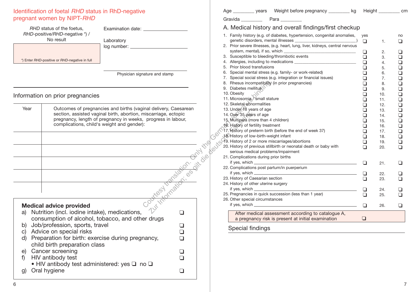# Identification of foetal *RHD* status in RhD-negative

| pregnant women by NIPT-RHD                                                                                                                                                                                          |                                                                                                                                                                                                                                                                                                                 |                       | P <sub>i</sub><br>Gravida                                                                                                                                                                                                                                                                                                             |
|---------------------------------------------------------------------------------------------------------------------------------------------------------------------------------------------------------------------|-----------------------------------------------------------------------------------------------------------------------------------------------------------------------------------------------------------------------------------------------------------------------------------------------------------------|-----------------------|---------------------------------------------------------------------------------------------------------------------------------------------------------------------------------------------------------------------------------------------------------------------------------------------------------------------------------------|
| RHD status of the foetus,<br>RHD-positive/RHD-negative *) /<br>No result<br>*) Enter RHD-positive or RHD-negative in full                                                                                           | Examination date: __________________<br>Laboratory                                                                                                                                                                                                                                                              |                       | A. Medical history a<br>1. Family history (e.g. of d<br>genetic disorders, ment<br>2. Prior severe illnesses, (e<br>system, mental), if so, v<br>3. Susceptible to bleeding<br>4. Allergies, including to m<br>5. Prior blood transfusions                                                                                            |
| Information on prior pregnancies                                                                                                                                                                                    | Physician signature and stamp                                                                                                                                                                                                                                                                                   |                       | 6. Special mental stress (e<br>7. Special social stress (e.<br>8. Rhesus incompatibility<br>9. Diabetes mellitus<br>10. Obesity<br>11. Microsomia / small stat                                                                                                                                                                        |
| Year                                                                                                                                                                                                                | Outcomes of pregnancies and births (vaginal delivery, Caesarean<br>section, assisted vaginal birth, abortion, miscarriage, ectopic<br>pregnancy, length of pregnancy in weeks, progress in labour,<br>complications, child's weight and gender):<br>the control of the control of the control of the control of |                       | 12. Skeletal abnormalities<br>13. Under 18 years of age<br>wears<br>35 years<br>35 years<br>35 years<br>35 years<br>35 years<br>35 years<br>35 years<br>35 years<br>35 years<br>35 years<br>35 years<br>35 years<br>35 years<br>35 years<br>35 years<br>35 years<br>35 years<br>35 years<br>35 years<br>35 years<br>35 years<br>35 ye |
| <b>Medical advice provided</b><br>a)<br>Job/profession, sports, travel<br>b)<br>c) Advice on special risks<br>child birth preparation class<br>e) Cancer screening<br>HIV antibody test<br>f)<br>Oral hygiene<br>g) | Nutrition (incl. iodine intake), medications,<br>consumption of alcohol, tobacco, and other drugs<br>d) Preparation for birth: exercise during pregnancy,<br>• HIV antibody test administered: yes $\square$ no $\square$                                                                                       | ❏<br>❏<br>◻<br>❏<br>❏ | a pregnancy risk is<br>Special findings                                                                                                                                                                                                                                                                                               |

| Weight before pregnancy ________ kg<br>Age _______________ years                                                                                                                | Height cm   |          |               |
|---------------------------------------------------------------------------------------------------------------------------------------------------------------------------------|-------------|----------|---------------|
| Gravida<br>Para                                                                                                                                                                 |             |          |               |
| A. Medical history and overall findings/first checkup                                                                                                                           |             |          |               |
| 1. Family history (e.g. of diabetes, hypertension, congenital anomalies,                                                                                                        | yes         |          | no            |
|                                                                                                                                                                                 | □           | 1.       | □             |
| 2. Prior severe illnesses, (e.g. heart, lung, liver, kidneys, central nervous                                                                                                   |             |          |               |
| 3. Susceptible to bleeding/thrombotic events                                                                                                                                    | ❏           | 2.       | □             |
|                                                                                                                                                                                 | ◻<br>$\Box$ | 3.<br>4. | ◻<br>$\Box$   |
| 5. Prior blood transfusions                                                                                                                                                     | $\Box$      | 5.       | $\Box$        |
| 6. Special mental stress (e.g. family- or work-related)                                                                                                                         | $\Box$      | 6.       |               |
| 7. Special social stress (e.g. integration or financial issues)                                                                                                                 | $\Box$      | 7.       |               |
| 8. Rhesus incompatibility (in prior pregnancies)                                                                                                                                | ◻           | 8.       | 0000          |
| 9. Diabetes mellitus                                                                                                                                                            | $\Box$      | 9.       |               |
| 10. Obesity                                                                                                                                                                     | $\Box$      | 10.      | ā             |
| 11. Microsomia / small stature                                                                                                                                                  | $\Box$      | 11.      | $\frac{1}{2}$ |
| 12. Skeletal abnormalities                                                                                                                                                      | ◻           | 12.      |               |
| 13. Under 18 years of age                                                                                                                                                       | $\Box$      | 13.      | $\frac{1}{2}$ |
| 14. Over 35 years of age                                                                                                                                                        | $\Box$      | 14.      |               |
| 15. Multipara (more than 4 children)                                                                                                                                            | $\Box$      | 15.      | $\Box$        |
| to. History of fertility treatment                                                                                                                                              | $\Box$      | 16.      |               |
| 17. History of preterm birth (before the end of week 37)                                                                                                                        | ◻           | 17.      | $\Box$        |
| 18. History of low-birth-weight infant                                                                                                                                          | n           | 18.      |               |
| 19. History of 2 or more miscarriages/abortions                                                                                                                                 | ◻           | 19.      | $\Box$        |
| 20. History of previous stillbirth or neonatal death or baby with<br>serious medical problems/impairment                                                                        | □           | 20.      | $\Box$        |
| 21. Complications during prior births                                                                                                                                           |             |          |               |
|                                                                                                                                                                                 |             |          | ⊓             |
| 22. Complications post partum/in puerperium                                                                                                                                     | ◻           | 21.      |               |
| if yes, which $\frac{1}{2}$ if yes, which $\frac{1}{2}$<br><u> 1990 - Johann Barbara, politik eta politik eta politik eta politik eta politik eta politik eta politik eta p</u> | □           | 22.      | n             |
| 23. History of Caesarian section                                                                                                                                                | n           | 23.      |               |
| 24. History of other uterine surgery                                                                                                                                            |             |          |               |
|                                                                                                                                                                                 | ⊔           | 24.      |               |
| 25. Pregnancies in quick succession (less than 1 year)                                                                                                                          | ∩           | 25.      |               |
| 26. Other special circumstances                                                                                                                                                 |             |          |               |
|                                                                                                                                                                                 | □           | 26.      | H             |
| After medical assessment according to catalogue A,                                                                                                                              |             |          |               |
| a pregnancy risk is present at initial examination                                                                                                                              | $\Box$      |          |               |
| Special findings                                                                                                                                                                |             |          |               |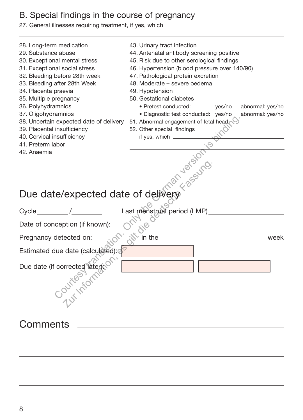#### B. Special findings in the course of pregnancy

27. General illnesses requiring treatment, if yes, which

- 28. Long-term medication
- 29. Substance abuse
- 30. Exceptional mental stress
- 31. Exceptional social stress
- 32. Bleeding before 28th week
- 33. Bleeding after 28th Week
- 34. Placenta praevia
- 35. Multiple pregnancy
- 36. Polyhydramnios
- 37. Oligohydramnios
- 38. Uncertain expected date of delivery
- 39. Placental insufficiency
- 40. Cervical insufficiency
- 41. Preterm labor
- 42. Anaemia
- 43. Urinary tract infection
- 44. Antenatal antibody screening positive
- 45. Risk due to other serological findings
- 46. Hypertension (blood pressure over 140/90)
- 47. Pathological protein excretion
- 48. Moderate severe oedema
- 49. Hypotension
- 50. Gestational diabetes
	- Pretest conducted: yes/no abnormal: yes/no
	- Diagnostic test conducted: yes/no abnormal: yes/no
- 51. Abnormal engagement of fetal head
- 52. Other special findings if yes, which

### Due date/expected date of delivery

| 39. Placental insufficiency<br>40. Cervical insufficiency<br>41. Preterm labor<br>Due date/expected date of delivery $\frac{\sqrt{8}e^{-30}}{\sqrt{8}}$<br>$\frac{\sqrt{8}}{2}$<br>$\frac{\sqrt{8}}{2}$<br>$\frac{\sqrt{8}}{2}$<br>$\frac{\sqrt{8}}{2}$<br>$\frac{\sqrt{8}}{2}$ | 38. Uncertain expected date of delivery 51. Abnormal engagement of fetal head<br>52. Other special findings<br>if yes, which _________ |
|---------------------------------------------------------------------------------------------------------------------------------------------------------------------------------------------------------------------------------------------------------------------------------|----------------------------------------------------------------------------------------------------------------------------------------|
|                                                                                                                                                                                                                                                                                 |                                                                                                                                        |
|                                                                                                                                                                                                                                                                                 |                                                                                                                                        |
|                                                                                                                                                                                                                                                                                 |                                                                                                                                        |
| Pregnancy detected on: _                                                                                                                                                                                                                                                        | $\mathbb{R}$ in the $\mathbb{R}$ in the $\mathbb{R}$<br>week                                                                           |
| Estimated due date (calculated): d                                                                                                                                                                                                                                              |                                                                                                                                        |
| Due date (if corrected later)                                                                                                                                                                                                                                                   |                                                                                                                                        |
| Comments                                                                                                                                                                                                                                                                        |                                                                                                                                        |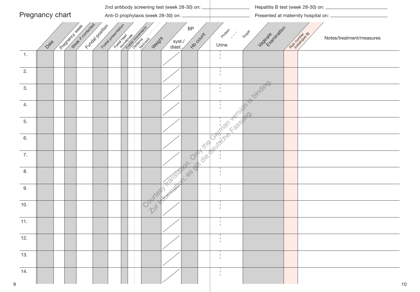| Pregnancy chart                          | Anti-D prophylaxis (week 28-30) on:                                                                                                                        | Presented at maternity hospital on: _______________                                               |
|------------------------------------------|------------------------------------------------------------------------------------------------------------------------------------------------------------|---------------------------------------------------------------------------------------------------|
| Wash t offected<br>Propisor Mean<br>Date | Foodby desertation<br>Fundal Dosition<br>$\mathsf{BP}$<br><b>Hoodurit</b><br><b>Designation of the Contract of Changes</b><br>Weight<br>/syst./<br>diast./ | Vacinal Britainston<br>Protein<br>Sugar<br>Rist of Minds & B<br>Notes/treatment/measures<br>Urine |
| $\overline{1}$ .                         |                                                                                                                                                            |                                                                                                   |
| 2.                                       |                                                                                                                                                            |                                                                                                   |
| 3.                                       |                                                                                                                                                            | Ts Oinding                                                                                        |
| 4.                                       |                                                                                                                                                            | Nicolastic Cathylacides                                                                           |
| 5.                                       |                                                                                                                                                            |                                                                                                   |
| 6.                                       |                                                                                                                                                            |                                                                                                   |
| 7.                                       | RON. OAT                                                                                                                                                   |                                                                                                   |
| 8.                                       | Tr. 60 sit<br><b>Kans</b>                                                                                                                                  |                                                                                                   |
| 9.                                       | Koreand<br>Courtest                                                                                                                                        |                                                                                                   |
| 10.                                      | 241                                                                                                                                                        |                                                                                                   |
| 11.                                      |                                                                                                                                                            | $\mathbf{I}$                                                                                      |
| 12.                                      |                                                                                                                                                            |                                                                                                   |
| 13.                                      |                                                                                                                                                            |                                                                                                   |
| 14.<br>9                                 |                                                                                                                                                            | 10                                                                                                |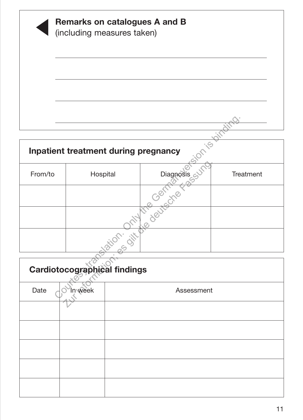|         |                                      | Remarks on catalogues A and B |           |
|---------|--------------------------------------|-------------------------------|-----------|
|         | (including measures taken)           |                               |           |
|         |                                      |                               |           |
|         |                                      |                               |           |
|         |                                      |                               |           |
|         |                                      |                               |           |
|         |                                      |                               |           |
|         |                                      |                               |           |
|         | Inpatient treatment during pregnancy | $\cdot$ $\circ$               |           |
| From/to | Hospital                             | Diagnosis                     | Treatment |
|         |                                      |                               |           |
|         |                                      |                               |           |
|         |                                      | Film Only the Government      |           |
|         | Cardiotocographical findings         |                               |           |
| Date    | In week                              | Assessment                    |           |

| From/to | Hospital                     | miagnosis city | Treatment |
|---------|------------------------------|----------------|-----------|
|         |                              |                |           |
|         |                              |                |           |
|         |                              | stion. str     |           |
|         | Cardiotocographical findings |                |           |
| Date    | In week                      | Assessment     |           |
|         |                              |                |           |
|         |                              |                |           |
|         |                              |                |           |
|         |                              |                |           |
|         |                              |                |           |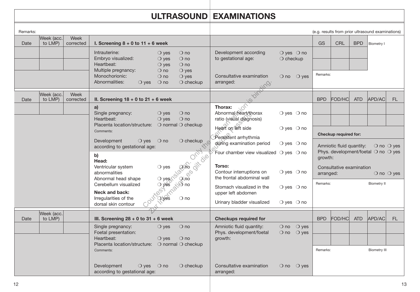## ULTRASOUND EXAMINATIONS

| Remarks: |                       |                   |                                                                              |                                                    |                                                        |                                                                                        |                                |                                  |                                                                                                                   | (e.g. results from prior ultrasound examinations) |            |                     |                              |
|----------|-----------------------|-------------------|------------------------------------------------------------------------------|----------------------------------------------------|--------------------------------------------------------|----------------------------------------------------------------------------------------|--------------------------------|----------------------------------|-------------------------------------------------------------------------------------------------------------------|---------------------------------------------------|------------|---------------------|------------------------------|
| Date     | Week (acc.<br>to LMP) | Week<br>corrected | I. Screening $8 + 0$ to $11 + 6$ week                                        |                                                    |                                                        |                                                                                        |                                |                                  | <b>GS</b>                                                                                                         | <b>CRL</b>                                        | <b>BPD</b> | Biometry I          |                              |
|          |                       |                   | Intrauterine:<br>Embryo visualized:<br>Heartbeat:                            | $\bigcirc$ yes<br>$\bigcirc$ yes<br>$\bigcirc$ yes | $\bigcirc$ no<br>$\bigcirc$ no<br>$\bigcirc$ no        | Development according<br>to gestational age:                                           | $\bigcirc$ checkup             | $\bigcirc$ yes $\bigcirc$ no     |                                                                                                                   |                                                   |            |                     |                              |
|          |                       |                   | Multiple pregnancy:<br>Monochorionic:<br>Abnormalities:<br>$\bigcirc$ yes    | $\bigcirc$ no<br>$\bigcirc$ no<br>$\bigcirc$ no    | $\bigcirc$ yes<br>$\bigcirc$ yes<br>$\bigcirc$ checkup | Consultative examination<br>arranged:                                                  |                                | $\bigcirc$ no $\bigcirc$ yes     | Remarks:                                                                                                          |                                                   |            |                     |                              |
| Date     | Week (acc.<br>to LMP) | Week<br>corrected | II. Screening $18 + 0$ to $21 + 6$ week                                      |                                                    |                                                        |                                                                                        |                                |                                  | <b>BPD</b>                                                                                                        | <b>FOD/HC</b>                                     | <b>ATD</b> | APD/AC              | <b>FL</b>                    |
|          |                       |                   | a)<br>Single pregnancy:<br>Heartbeat:                                        | $\bigcirc$ yes<br>$\bigcirc$ yes                   | $\bigcirc$ no<br>$\bigcirc$ no                         | Thorax:<br>Abnormal heart/thorax<br>ratio (visual diagnosis)                           |                                | $\bigcirc$ yes $\bigcirc$ no     |                                                                                                                   |                                                   |            |                     |                              |
|          |                       |                   | Placenta location/structure: O normal O checkup<br>Comments:                 |                                                    |                                                        | Heart on left side<br>Persistent arrhythmia                                            | $\bigcirc$ yes $\bigcirc$ no   |                                  |                                                                                                                   | Checkup required for:                             |            |                     |                              |
|          |                       |                   | Development<br>$\bigcirc$ yes<br>according to gestational age:               | $\bigcirc$ no                                      | $\bigcirc$ checkup<br>OPH                              | during examination period<br>Four chamber view visualized $\bigcirc$ yes $\bigcirc$ no |                                | $\bigcirc$ yes $\bigcirc$ no     | Amniotic fluid quantity:<br>$\bigcirc$ no $\bigcirc$ yes<br>Phys. development/foetal $\bigcirc$ no $\bigcirc$ yes |                                                   |            |                     |                              |
|          |                       |                   | b)<br>Head:                                                                  |                                                    |                                                        | Torso:                                                                                 |                                |                                  | growth:                                                                                                           |                                                   |            |                     |                              |
|          |                       |                   | Ventricular system<br>abnormalities<br>Abnormal head shape                   | $\bigcirc$ yes                                     | Nava ditalier<br>Rab ith                               | Contour interruptions on<br>the frontal abdominal wall                                 | $\bigcirc$ yes $\bigcirc$ no   |                                  | arranged:                                                                                                         | Consultative examination                          |            |                     | $\bigcirc$ no $\bigcirc$ yes |
|          |                       |                   | Cerebellum visualized<br>Neck and back:                                      | O yes n <sup>5</sup>                               |                                                        | Stomach visualized in the                                                              |                                | $\bigcirc$ yes $\bigcirc$ no     | Remarks:                                                                                                          |                                                   |            | <b>Biometry II</b>  |                              |
|          |                       |                   | Irregularities of the<br>dorsal skin contour                                 | <b>Children</b>                                    |                                                        | upper left abdomen<br>Urinary bladder visualized                                       | $\bigcirc$ yes $\bigcirc$ no   |                                  |                                                                                                                   |                                                   |            |                     |                              |
| Date     | Week (acc.<br>to LMP) |                   | III. Screening $28 + 0$ to 31 + 6 week                                       |                                                    |                                                        | <b>Checkups required for</b>                                                           |                                |                                  | <b>BPD</b>                                                                                                        | <b>FOD/HC</b>                                     | <b>ATD</b> | APD/AC              | FL.                          |
|          |                       |                   | Single pregnancy:<br>Foetal presentation:                                    | $\bigcirc$ yes                                     | $\bigcirc$ no                                          | Amniotic fluid quantity:<br>Phys. development/foetal                                   | $\bigcirc$ no<br>$\bigcirc$ no | $\bigcirc$ yes<br>$\bigcirc$ yes |                                                                                                                   |                                                   |            |                     |                              |
|          |                       |                   | Heartbeat:<br>Placenta location/structure: O normal O checkup                | $\bigcirc$ ves                                     | $\bigcirc$ no                                          | growth:                                                                                |                                |                                  |                                                                                                                   |                                                   |            |                     |                              |
|          |                       |                   | Comments:                                                                    |                                                    |                                                        |                                                                                        |                                |                                  | Remarks:                                                                                                          |                                                   |            | <b>Biometry III</b> |                              |
|          |                       |                   | Development<br>$\bigcirc$ yes $\bigcirc$ no<br>according to gestational age: |                                                    | $\bigcirc$ checkup                                     | Consultative examination<br>arranged:                                                  | $\bigcirc$ no                  | $\bigcirc$ yes                   |                                                                                                                   |                                                   |            |                     |                              |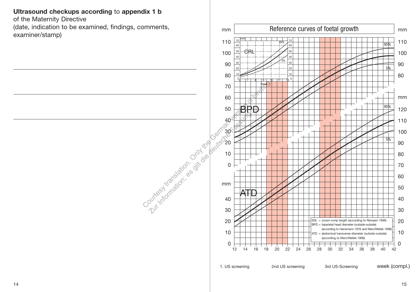Ultrasound checkups according to appendix 1 b

of the Maternity Directive

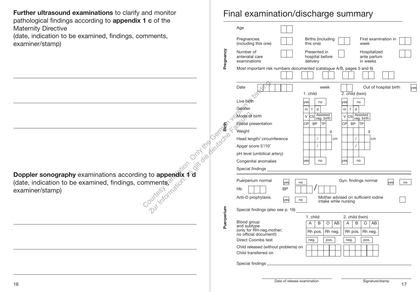Further ultrasound examinations to clarify and monitor pathological findings according to appendix 1 c of the Maternity Directive

(date, indication to be examined, findings, comments, examiner/stamp)

Final examination/discharge summary

| $1$ C OI LIIG                                                                                                                                                                                                                  |            | Age                                                                              |                                                                                          |
|--------------------------------------------------------------------------------------------------------------------------------------------------------------------------------------------------------------------------------|------------|----------------------------------------------------------------------------------|------------------------------------------------------------------------------------------|
|                                                                                                                                                                                                                                |            |                                                                                  |                                                                                          |
| mments,                                                                                                                                                                                                                        |            | Pregnancies<br>(including this one)                                              | Births (including<br>First examination in<br>this one)<br>week                           |
|                                                                                                                                                                                                                                | Pregnancy  | Number of<br>antenatal care<br>examinations                                      | Presented in<br>Hospitalized<br>hospital before<br>ante partum<br>delivery<br>in weeks   |
|                                                                                                                                                                                                                                |            |                                                                                  | Most important risk numbers documented (catalogue A/B, pages 5 and 6)                    |
|                                                                                                                                                                                                                                |            | Date                                                                             | Out of hospital birth<br>week<br>yes<br>1. child<br>2. child (twin)                      |
|                                                                                                                                                                                                                                |            | Live birth                                                                       | lves<br>lves<br>no<br>no                                                                 |
|                                                                                                                                                                                                                                |            | Gender                                                                           | $\mathsf{d}$<br>$\mathsf{d}$<br>f<br>m.<br>f<br>m.                                       |
|                                                                                                                                                                                                                                |            | Mode of birth                                                                    | Assisted<br>vag. birth<br>Assisted<br>vag. birth<br>lcsl<br>lcs<br>$\vee$<br>$\vee$      |
|                                                                                                                                                                                                                                |            | Foetal presentation                                                              | lтp<br><b>BP</b><br><b>ITP</b><br>CP<br>CP<br><b>BP</b>                                  |
|                                                                                                                                                                                                                                |            |                                                                                  | g<br>g                                                                                   |
|                                                                                                                                                                                                                                |            | Head length/ circumference                                                       | $\prime$<br>cm<br>cm                                                                     |
|                                                                                                                                                                                                                                |            | Apgar score 5'/10'                                                               |                                                                                          |
|                                                                                                                                                                                                                                |            | pH level (umbilical artery)                                                      |                                                                                          |
|                                                                                                                                                                                                                                |            | Congenital anomalies                                                             | no<br>no<br>yes<br>lyes                                                                  |
|                                                                                                                                                                                                                                |            | Special findings                                                                 |                                                                                          |
|                                                                                                                                                                                                                                |            | Puerperium normal                                                                | Gyn. findings normal                                                                     |
| This of the contract of the contract of the contract of the contract of the contract of the contract of the contract of the contract of the contract of the contract of the contract of the contract of the contract of the co |            | yes<br><b>BP</b>                                                                 | yes<br>no<br>no                                                                          |
|                                                                                                                                                                                                                                |            |                                                                                  |                                                                                          |
|                                                                                                                                                                                                                                |            | Anti-D prophylaxis<br>yes                                                        | Mother advised on sufficient iodine<br>no<br>intake while nursing                        |
|                                                                                                                                                                                                                                |            | Special findings (also see p. 16)                                                |                                                                                          |
|                                                                                                                                                                                                                                |            |                                                                                  | 1. child<br>2. child (twin)                                                              |
|                                                                                                                                                                                                                                | Puerperium | Blood group<br>and subtype<br>(only for RH-neg.mother;<br>no official document!) | B<br>O<br>AB<br>A<br>B<br>$\circ$<br>AB<br>A<br>Rh neg.<br>Rh pos.<br>Rh neg.<br>Rh pos. |
|                                                                                                                                                                                                                                |            | Direct Coombs test                                                               | pos.<br>neg.<br>pos.<br>neg.                                                             |
|                                                                                                                                                                                                                                |            | Child released (without problems) on                                             |                                                                                          |
|                                                                                                                                                                                                                                |            | Child transferred on                                                             |                                                                                          |
|                                                                                                                                                                                                                                |            | Special findings                                                                 |                                                                                          |

Doppler sonography examinations according to appendix  $\Phi$  d (date, indication to be examined, findings, comments, $^{\circ}$ examiner/stamp)